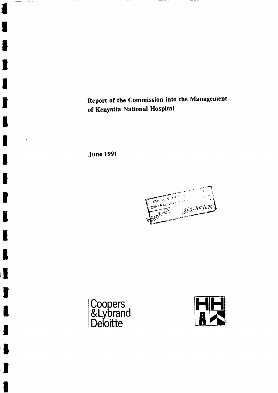Report of the Commission into the Management of Kenyatta National Hospital

----

June 1991

**T** 

 $\hspace{0.1cm} - \hspace{0.1cm} - \hspace{0.1cm} - \hspace{0.1cm} -$ 

 $\,$   $-$ 

T

IIII III

I

**III**<br>IIII

I

t

II

Itti de la segunda de la segunda de la contradicación de la contradicación de la contradicación de la contradicación de la contradicación de la contradicación de la contradicación de la contradicación de la contradicación





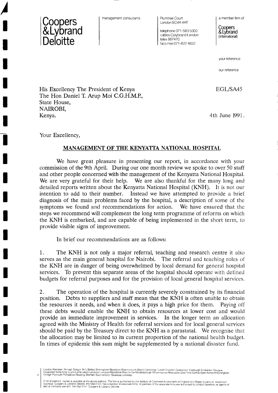

/

I

I

t

I

T

t

I<br>I

T

I

T

t

I

I

I

I

I

t

I

t

I

management consultants

Plumtree Court London EC4A 4HT

telephone 071 -583 5000 cables Colybrand London telex 887470 facsimile 071-822 4652

a member firm of

**Coopers** &Lybrand (International)

your reference

our reference

EGL/SA45

His Excellency The President of Kenya The Hon Daniel T. Arup Moi C.G.H.M.P., State House, NAIROBI, Kenya.

4th June 1991.

Your Excellency,

## MANAGEMENT OF THE KENYATTA NATIONAL HOSPITAL

We have great pleasure in presenting our report, in accordance with your commission of the 9th April. During our one month review we spoke to over 50 staff and other people concerned with the management of the Kenyatta National Hospital. We are very grateful for their help. We are also thankful for the many long and detailed reports written about the Kenyatta National Hospital (KNH). It is not our intention to add to their number. Instead we have attempted to provide a brief diagnosis of the main problems faced by the hospital, a description of some of the symptoms we found and recommendations for action. We have ensured that the steps we recommend will complement the long term programme of reforms on which the KNH is embarked, and are capable of being implemented in the short term, to provide visible signs of improvement.

In brief our recommendations are as follows:

1. The KNH is not only a major referral, teaching and research centre it also serves as the main general hospital for Nairobi. The referral and teaching roles of the KNH are in danger of being overwhelmed by local demand for general hospital services. To prevent this separate areas of the hospital should operate with defined budgets for referral purposes and for the provision of local general hospital services.

2. The operation of the hospital is currently severely constrained by its financial position. Debts to suppliers and staff mean that the KNH is often unable to obtain the resources it needs, and when it does, it pays a high price for them. Paying otf these debts would enable the KNH to obtain resources at lower cost and would provide an immediate improvement in services. In the longer term an allocation agreed with the Ministry of Health for referral services and for local general services should be paid by the Treasury direct to the KNH as a parastatal. We recognise that the allocation may be limited to its current proportion of the national health budget. In times of epidemic this sum might be supplemented by a national disaster fund.

London Aberdeen Armagh Bangor (NT) Bellast Birmingham Blackburn Bournemouth Bristol Cambridge Gardiff Croydon Dungannon Edinburgh Enniskillen Glasgow<br>Gloucester Irvine King s Lynn Larne Leeds Leicester Liverpool Madstone M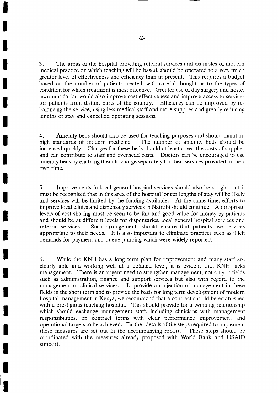3. The areas of the hospital providing referral services and examples of modern medical practice on which teaching will be based, should be operated to a very much greater level of effectiveness and efficiency than at present. This requires a budget based on the number of patients treated, with careful thought as to the types of condition for which treatment is most effective. Greater use of day surgery and hostel accommodation would also improve cost effectiveness and improve access to seruices for patients from distant parts of the country. Efficiency can be improved by rebalancing the service, using less medical staff and more supplies and greatly reducing lengths of stay and cancelled operating sessions.

4. Amenity beds should also be used for teaching purposes and should maintain high standards of modern medicine. The number of amenity beds should be The number of amenity beds should be increased quickly. Charges for these beds should at least cover the costs of supplies and can contribute to staff and overhead costs. Doctors can be encouraged to use amenity beds by enabling them to charge separately for their services provided in their own time.

5. Improvements in local general hospital services should also be sought, but it must be recognised that in this area of the hospital longer lengths of stay will be likely and services will be limited by the funding available. At the same time, efforts to improve local clinics and dispensary services in Nairobi should continue. Appropriate levels of cost sharing must be seen to be fair and good value for money by patients and should be at different levels for dispensaries, local general hospital services and referral services. Such arrangements should ensure that patients use seryices appropriate to their needs. It is also important to eliminate practices such as illicit demands for payment and queue jumping which were widely reported.

6. While the KNH has a long term plan for improvement and many statf are clearly able and working well at a detailed level, it is evident that KNH lacks management. There is an urgent need to strengthen management, not only in fields such as administration, finance and support services but also with regard to the management of clinical services. To provide an injection of management in these fields in the short term and to provide the basis for long term development of modern hospital management in Kenya, we recommend that a contract should be established with a prestigious teaching hospital. This should provide for a twinning relationship which should exchange management staff, including clinicians with management responsibilities, on contract terms with clear performance improvement and operational targets to be achieved. Further details of the steps required to implement these measures are set out in the accompanying report. These steps should be coordinated with the measures already proposed with World Bank and USAID support.

t

I

I

T

T

I

T

t

T

I

I

T

I

I

t

I

I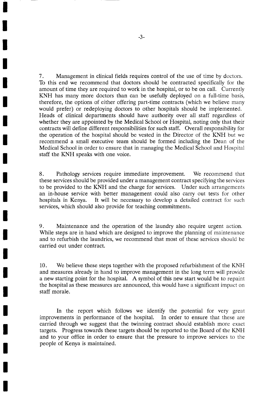<sup>7</sup>. Management in clinical fields requires control of the use of time by doctors. To this end we recommend that doctors should be contracted specifically for the amount of time they are required to work in the hospital, or to be on call. Currently KNH has many more doctors than can be usefully deployed on a full-time basis, therefore, the options of either offering part-time contracts (which we believe many would prefer) or redeploying doctors to other hospitals should be implemented. Heads of clinical departments should have authority over all staff regardless of whether they are appointed by the Medical School or Hospital, noting only that their contracts will define different responsibilities for such staff. Overall responsibility for the operation of the hospital should be vested in the Director of the KNH but we recommend a small executive team should be formed including the Dean of the Medical School in order to ensure that in managing the Medical School and Hospital staff the KNH speaks with one voice.

8. Pathology services require immediate improvement. We recommend that these services should be provided under a management contract specifying the services to be provided to the KNH and the charge for services. Under such arrangements an in-house service with better management could also carry out tests for other hospitals in Kenya. It will be necessary to develop a detailed contract for such services, which should also provide for teaching commitments.

9. Maintenance and the operation of the laundry also require urgent action. While steps are in hand which are designed to improve the planning of maintenance and to refurbish the laundries, we recommend that most of these services should be carried out under contract.

10. We believe these steps together with the proposed refurbishment of the KNH and measures already in hand to improve management in the long term will provide a new starting point for the hospital. A symbol of this new start would be to repaint the hospital as these measures are announced, this would have a significant impact on staff morale.

In the report which follows we identify the potential for very great improvements in performance of the hospital. In order to ensure that these are carried through we suggest that the twinning contract should establish more exact targets. Progress towards these targets should be reported to the Board of the KNH and to your office in order to ensure that the pressure to improve seruices to the people of Kenya is maintained.

**j** 

I

t

I

I

T

T

I

t

t

I

t

I

I

I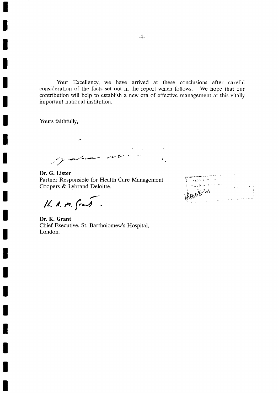Your Excellency, we have arrived at these conclusions after careful consideration of the facts set out in the report which follows. We hope that our contribution will help to establish a new era of effective management at this vitally important national institution.

Yours faithfully,

I

I

T

I

T

I

t

I

T

t

I

t

T

T

Jahard

Dr. G. Lister Partner Responsible for Health Care Management

Coopers & Lybrand Deloitte.<br> $\overline{11}$ ,  $\overline{12}$ ,  $\overline{13}$ ,  $\overline{15}$ 

Dr. K. Grant Chief Executive, St. Bartholomew's Hospital, London.

| KENYA N        |  |
|----------------|--|
| FIZENTRAL COLL |  |
| Likage 8-61    |  |
|                |  |
|                |  |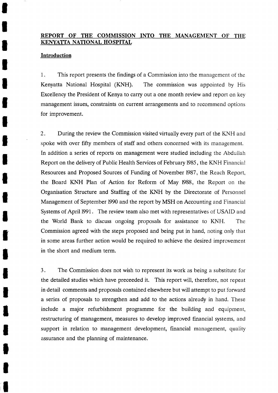# REPORT OF THE COMMISSION INTO THE MANAGEMENT OF THE KENYATTA NATIONAL HOSPITAL

#### Introduction

I

I

I

I

t

T

I

T

l

t

I

1

I

I

I

I

I

**I** 

I

il

1. This report presents the findings of a Commission into the management of the Kenyatta National Hospital (KNH). The commission was appointed by His Excellency the President of Kenya to carry out a one month review and report on key management issues, constraints on current arrangements and to recommend options for improvement.

2. During the review the Commission visited virtually every part of the KNH and spoke with over fifty members of staff and others concerned with its management. In addition a series of reports on management were studied including the Abdullah Report on the delivery of Public Health Services of February 1985, the KNH Financial Resources and Proposed Sources of Funding of November 1987, the Reach Report, the Board KNH Plan of Action for Reform of May 1988, the Report on the Organisation Structure and Staffing of the KNH by the Directorate of Personnel Management of September 1990 and the report by MSH on Accounting and Financial Systems of April 1991. The review team also met with representatives of USAID and the World Bank to discuss ongoing proposals for assistance to KNH. The Commission agreed with the steps proposed and being put in hand, noting only that in some areas further action would be required to achieve the desired improvement in the short and medium term.

3. The Commission does not wish to represent its work as being a substitute for the detailed studies which have preceeded it. This report will, therefore, not repeat in detail comments and proposals contained elsewhere but will attempt to put forward a series of proposals to strengthen and add to the actions already in hand. These include a major refurbishment programme for the building and equipment, restructuring of management, measures to develop improved financial systems, and support in relation to management development, financial management, quality assurance and the planning of maintenance.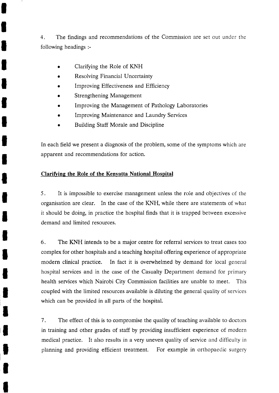4. The findings and recommendations of the Commission are set out under the following headings :-

Clarifying the Role of KNH

I

I

I

I

l

T

I

I

T

I

t

I

I

I

I

I

I

l

l

I

t

- Resolving Financial Uncertainty
- Improving Effectiveness and Efficiency
- Strengthening Management
- Improving the Management of Pathology Laboratories
- Improving Maintenance and Laundry Services
- Building Staff Morale and Discipline

In each field we present a diagnosis of the problem, some of the symptoms which are apparent and recommendations for action.

# Clarifying the Role of the Kenyatta National Hospital

5. It is impossible to exercise management unless the role and objectives of the organisation are clear. In the case of the KNH, while there are statements of what it should be doing, in practice the hospital finds that it is trapped between excessive demand and limited resources.

6. The KNH intends to be a major centre for referral services to treat cases too complex for other hospitals and a teaching hospital offering experience of appropriate modern clinical practice. In fact it is overwhelmed by demand for local general hospital services and in the case of the Casualty Department demand for primary health services which Nairobi City Commission facilities are unable to meet. This coupled with the limited resources available is diluting the general quality of services which can be provided in all parts of the hospital.

<sup>7</sup>. The effect of this is to compromise the quality of teaching available to doctors in training and other grades of staff by providing insufficient experience of modern medical practice. It also results in a very uneven quality of service and ditficulty in planning and providing efficient treatment. For example in orthopaedic surgery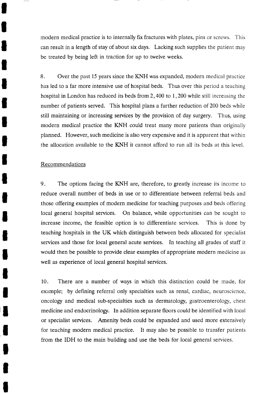modern medical practice is to internally fix fractures with plates, pins or screws. This can result in a length of stay of about six days. Lacking such supplies the patient may be treated by being left in traction for up to twelve weeks.

8. Over the past 15 years since the KNH was expanded, modern medical practice has led to a far more intensive use of hospital beds. Thus over this period a teaching hospital in London has reduced its beds from  $2,400$  to  $1,200$  while still increasing the number of patients served. This hospital plans a further reduction of 200 beds while still maintaining or increasing services by the provision of day surgery. Thus, using modern medical practice the KNH could treat many more patients than originally planned. However, such medicine is also very expensive and it is apparent that within the allocation available to the KNH it cannot afford to run all its beds at this level.

## Recommendations

I

I

l

I

l

I

T

I

T

t

l

l

J

I

I

I

I

I

I

I

I

9. The options facing the KNH are, therefore, to greatly increase its income to reduce overall number of beds in use or to differentiate between referral beds and those offering examples of modern medicine for teaching purposes and beds oftering local general hospital services. On balance, while opportunities can be sought to increase income, the feasible option is to differentiate services. This is done by teaching hospitals in the UK which distinguish between beds allocated for specialist services and those for local general acute services. In teaching all grades of staff it would then be possible to provide clear examples of appropriate modern medicine as well as experience of local general hospital services.

10. There are a number of ways in which this distinction could be made, for example; by defining referral only specialties such as renal, cardiac, neuroscience, oncology and medical sub-specialties such as dermatology, gastroenterology, chest medicine and endocrinology. In addition separate floors could be identitied with local or specialist services. Amenity beds could be expanded and used more extensively for teaching modern medical practice. It may also be possible to transfer patients from the IDH to the main building and use the beds for local general services.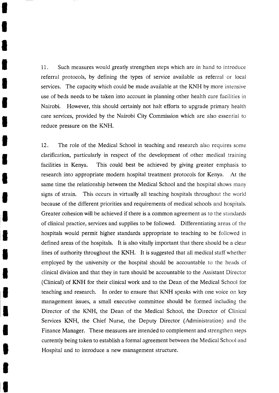11. Such measures would greatly strengthen steps which are in hand to introduce referral protocols, by defining the types of service available as referral or local services. The capacity which could be made available at the KNH by more intensive use of beds needs to be taken into account in planning other health care facilities in Nairobi. However, this should certainly not halt efforts to upgrade primary health care services, provided by the Nairobi City Commission which are also essential to reduce pressure on the KNH.

T

I

1

I

l

I

t

I

T

I

l

I

1

I

I

T

I

I

I

T

I

12. The role of the Medical School in teaching and research also requires some clarification, particularly in respect of the development of other medical training facilities in Kenya. This could best be achieved by giving greater emphasis to research into appropriate modern hospital treatment protocols for Kenya. At the same time the relationship between the Medical School and the hospital shows many signs of strain. This occurs in virtually all teaching hospitals throughout the world because of the different priorities and requirements of medical schools and hospitals. Greater cohesion will be achieved if there is a common agreement as to the standards of clinical practice, services and supplies to be followed. Differentiating areas of the hospitals would permit higher standards appropriate to teaching to be followed in defined areas of the hospitals. It is also vitally important that there should be a clear lines of authority throughout the KNH. It is suggested that all medical statf whether employed by the university or the hospital should be accountable to the heads of clinical division and that they in turn should be accountable to the Assistant Director (Clinical) of KNH for their clinical work and to the Dean of the Medical School for teaching and research. In order to ensure that KNH speaks with one voice on key management issues, a small executive committee should be formed including the Director of the KNH, the Dean of the Medical School, the Director of Clinical Services KNH, the Chief Nurse, the Deputy Director (Administration) and the Finance Manager. These measures are intended to complement and strengthen steps currently being taken to establish a formal agreement between the Medical School and Hospital and to introduce a new management structure.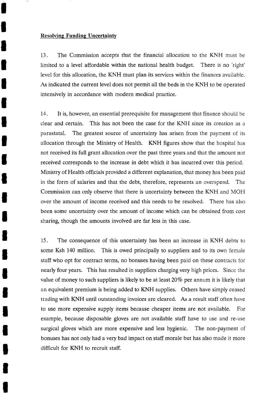#### Resolving Funding Uncertainty

I

I

l

I

I

I

I

I

I

l

T

I

I

t

I

T

I

l

I

T

I

13. The Commission accepts that the financial allocation to the KNH must be limited to a level affordable within the national health budget. There is no 'right' level for this allocation, the KNH must plan its services within the finances available. As indicated the current level does not permit all the beds in the KNH to be operated intensively in accordance with modern medical practice.

14. It is, however, an essential prerequisite for management that finance should be clear and certain. This has not been the case for the KNH since its creation as <sup>a</sup> parastatal. The greatest source of uncertainty has arisen from the payment of its allocation through the Ministry of Health. KNH figures show that the hospital has not received its full grant allocation over the past three years and that the amount not received corresponds to the increase in debt which it has incurred over this period. Ministry of Health officials provided a different explanation, that money has been paid in the form of salaries and that the debt, therefore, represents an overspend. The Commission can only observe that there is uncertainty between the KNH and MOH over the amount of income received and this needs to be resolved. There has also been some uncertainty over the amount of income which can be obtained from cost sharing, though the amounts involved are far less in this case.

15. The consequence of this uncertainty has been an increase in KNH debts to some Ksh 140 million. This is owed principally to suppliers and to its own female staff who opt for contract terms, no bonuses having been paid on these contracts for nearly four years. This has resulted in suppliers charging very high prices. Since the value of money to such suppliers is likely to be at least  $20\%$  per annum it is likely that an equivalent premium is being added to KNH supplies. Others have simply ceased trading with KNH until outstanding invoices are cleared. As a result staff often have to use more expensive supply items because cheaper items are not available. For example, because disposable gloves are not available staff have to use and re-use surgical gloves which are more expensive and less hygienic. The non-payment of bonuses has not only had a very bad impact on staff morale but has also made it more difficult for KNH to recruit staff.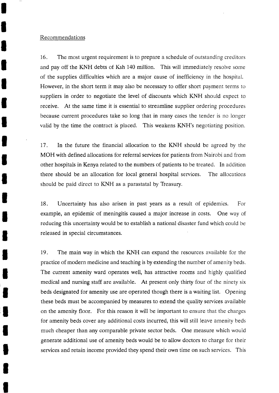#### Recommendations

I

I

l

I

l

I

I

T

I

I

T

l

I

I

I

**T** 

I

I

I

I

I

16. The most urgent requirement is to prepare a schedule of outstanding creditors and pay off the KNH debts of Ksh 140 million. This will immediately resolve some of the supplies difficulties which are a major cause of inefficiency in the hospital. However, in the short term it may also be necessary to offer short payment terms to suppliers in order to negotiate the level of discounts which KNH should expect to receive. At the same time it is essential to streamline supplier ordering procedures because current procedures take so long that in many cases the tender is no longer valid by the time the contract is placed. This weakens KNH's negotiating position.

17. In the future the financial allocation to the KNH should be agreed by the MOH with defined allocations for referral services for patients from Nairobi and from other hospitals in Kenya related to the numbers of patients to be treated. In addition there should be an allocation for local general hospital services. The allocations should be paid direct to KNH as a parastatal by Treasury.

18. Uncertainty has also arisen in past years as a result of epidemics. For example, an epidemic of meningitis caused a major increase in costs. One way of reducing this uncertainty would be to establish a national disaster fund which could be released in special circumstances.

19. The main way in which the KNH can expand the resources available for the practice of modern medicine and teaching is by extending the number of amenity beds. The current amenity ward operates well, has attractive rooms and highly qualified medical and nursing staff are available. At present only thirty four of the ninety six beds designated for amenity use are operated though there is a waiting list. Opening these beds must be accompanied by measures to extend the quality services available on the amenity floor. For this reason it will be important to ensure that the charges for amenity beds cover any additional costs incurred, this will still leave amenity beds much cheaper than any comparable private sector beds. One measure which would generate additional use of amenity beds would be to allow doctors to charge for their services and retain income provided they spend their own time on such services. This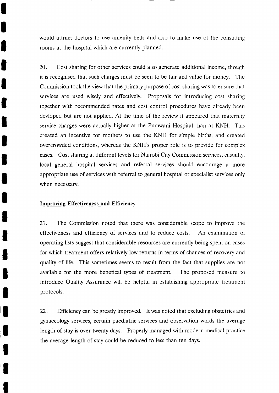would attract doctors to use ameniry beds and also to make use of the consulting rooms at the hospital which are currently planned.

20. Cost sharing for other services could also generate additional income, though it is recognised that such charges must be seen to be fair and value for money. The Commission took the view that the primary purpose of cost sharing was to ensure that services are used wisely and effectively. Proposals for introducing cost sharing together with recommended rates and cost control procedures have already been devloped but are not applied. At the time of the review it appeared that maternity service charges were actually higher at the Pumwani Hospital than at KNH. This created an incentive for mothers to use the KNH for simple births, and created overcrowded conditions, whereas the KNH's proper role is to provide for complex cases. Cost sharing at different levels for Nairobi City Commission services, casualty, local general hospital services and referral services should encourage a more appropriate use of services with referral to general hospital or specialist services only when necessary.

# Improving Effectiveness and Efficiency

I

I

l

T

I

I

t

I

I

I

I

I

I

t

I

I

I

I

I

I

I

21. The Commission noted that there was considerable scope to improve the effectiveness and efficiency of services and to reduce costs. An examination of operating lists suggest that considerable resources are currently being spent on cases for which treatment offers relatively low returns in terms of chances of recovery and quality of life. This sometimes seems to result from the fact that supplies are not available for the more benefical types of treatment. The proposed measure to introduce Quality Assurance will be helpful in establishing appropriate treatment protocols.

22. Efficiency can be greatly improved. It was noted that excluding obstetrics and gynaecology services, certain paediatric services and observation wards the average length of stay is over rwenty days. Properly managed with modern medical practice the average length of stay could be reduced to less than ten days.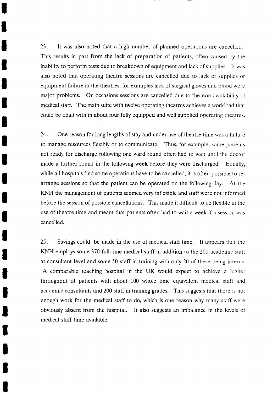23. It was also noted that a high number of planned operations are cancelled. This results in part from the lack of preparation of patients, otten caused by the inability to perform tests due to breakdown of equipment and lack of supplies. It was also noted that operating theatre sessions are cancelled due to lack of supplies or equipment failure in the theatres, for examples lack of surgical gloves and blood were major problems. On occasions sessions are cancelled due to the non-availability of medical staff. The main suite with twelve operating theatres achieves a workload that could be dealt with in about four fully equipped and well supplied operating theatres.

I

I

l

I

I

t

t

I

I

l

T

I

I

I

I

I

I

I

I

I

I

24. One reason for long lengths of stay and under use of theatre time was a failure to manage resources flexibly or to communicate. Thus, for example, some patients not ready for discharge following one ward round often had to wait until the doctor made a further round in the following week before they were discharged. Equally, while all hospitals find some operations have to be cancelled, it is often possible to rearrange sessions so that the patient can be operated on the following day. At the KNH the management of patients seemed very inflexible and staff were not informed before the session of possible cancellations. This made it difficult to be flexible in the use of theatre time and meant that patients often had to wait a week if a session was cancelled.

25. Savings could be made in the use of medical staff time. It appears that the KNH employs some 370 full-time medical staff in addition to the 200 academic staff at consultant level and some 50 staff in training with only 20 of these being interns. A comparable teaching hospital in the UK would expect to achieve a higher throughput of patients with about 100 whole time equivalent medical staff and academic consultants and 200 staff in training grades. This suggests that there is not enough work for the medical staff to do, which is one reason why many staff were obviously absent from the hospital. It also suggests an imbalance in the levels of medical staff time available.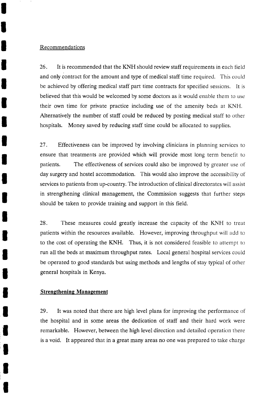#### Recommendations

I

I

T

I

t

T

I

I

I

I

I

t

I

I

I

T

I

I

I

I

26. It is recommended that the KNH should review staff requirements in each field and only contract for the amount and type of medical staff time required. This could be achieved by offering medical staff part time contracts for specified sessions. It is believed that this would be welcomed by some doctors as it would enable them to use their own time for private practice including use of the amenity beds at KNH. Alternatively the number of staff could be reduced by posting medical staff to other hospitals. Money saved by reducing staff time could be allocated to supplies.

<sup>27</sup>. Effectiveness can be improved by involving clinicians in planning services to ensure that treatments are provided which will provide most long term benefit to patients. The effectiveness of services could also be improved by greater use of day surgery and hostel accommodation. This would also improve the accessibility of services to patients from up-country. The introduction of clinical directorates will assist in strengthening clinical management, the Commission suggests that further steps should be taken to provide training and support in this field.

28. These measures could greatly increase the capacity of the KNH to treat patients within the resources available. However, improving throughput will add to to the cost of operating the KNH. Thus, it is not considered feasible to attempt to run all the beds at maximum throughput rates. Local general hospital services could be operated to good standards but using methods and lengths of stay typical of other general hospitals in Kenya.

# **Strengthening Management**

29. It was noted that there are high level plans for improving the performance of the hospital and in some areas the dedication of staff and their hard work were remarkable. However, between the high level direction and detailed operation there is a void. It appeared that in a great many areas no one was prepared to take charge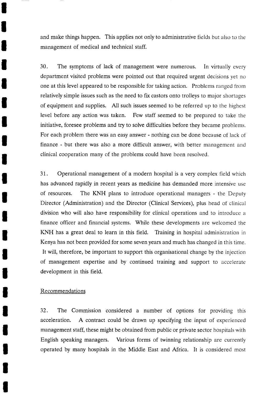and make things happen. This applies not only to administrative tields but also to the management of medical and technical staff.

30. The symptoms of lack of management were numerous. In virtually every department visited problems were pointed out that required urgent decisions yet no one at this level appeared to be responsible for taking action. Problems ranged from relatively simple issues such as the need to fix castors onto trolleys to major shortages of equipment and supplies. All such issues seemed to be referred up to the highest level before any action was taken. Few staff seemed to be prepared to take the initiative, foresee problems and try to solve difficulties before they became problems. For each problem there was an easy answer - nothing can be done because of lack of finance - but there was also a more difficult answer, with better management and clinical cooperation many of the problems could have been resolved.

31. Operational management of a modern hospital is a very complex field which has advanced rapidly in recent years as medicine has demanded more intensive use of resources. The KNH plans to introduce operational managers - the Deputy Director (Administration) and the Director (Clinical Services), plus head of clinical division who will also have responsibility for clinical operations and to introduce <sup>a</sup> finance officer and financial systems. While these developments are welcomed the KNH has a great deal to learn in this field. Training in hospital administration in Kenya has not been provided for some seven years and much has changed in this time. It will, therefore, be important to support this organisational change by the injection of management expertise and by continued training and support to accelerate development in this field.

#### Recommendations

I

I

l

I

l

T

I

T

I

I

T

I

I

l

I

T

I

I

I

T

l

32. The Commission considered a number of options for providing this acceleration. A contract could be drawn up specifying the input of experienced management staff, these might be obtained from public or private sector hospitals with English speaking managers. Various forms of twinning relationship are currently operated by many hospitals in the Middle East and Africa. It is considered most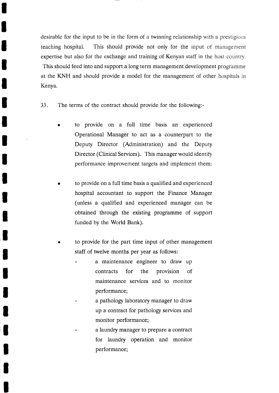desirable for the input to be in the form of a twinning relationship with a prestigious teaching hospital. This should provide not only for the input of management expertise but also for the exchange and training of Kenyan staff in the host country. This should feed into and support a long term management development programme at the KNH and should provide a model for the management of other hospitals in Kenya.

33. The terms of the contract should provide for the following:-

I

I

T

I

I

t

T

I

T

I

T

I

T

I

T

I

I

I

T

T

- to provide on a full time basis an experienced Operational Manager to act as a counterpart to the Deputy Director (Administration) and the Deputy Director (Clinical Services). This manager would identify performance improvement targets and implement them;
- to provide on a full time basis a qualified and experienced hospital accountant to support the Finance Manager (unless a qualified and experienced manager can be obtained through the existing programme of support funded by the World Bank).
- to provide for the part time input of other management staff of twelve months per year as follows:
	- a maintenance engineer to draw up contracts for the provision of maintenance services and to monitor performance;
	- a pathology laboratory manager to draw up a contract for pathology services and monitor performance;
	- a laundry manager to prepare a contract for laundry operation and monitor performance;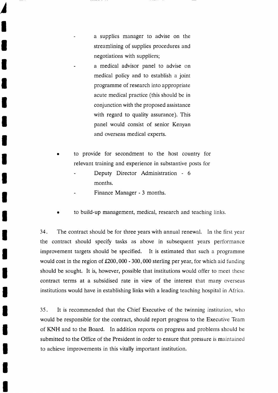a supplies manager to advise on the streamlining of supplies procedures and negotiations with suppliers; a medical advisor panel to advise on medical policy and to establish a joint programme of research into appropriate acute medical practice (this should be in conjunction with the proposed assistance with regard to quality assurance). This panel would consist of senior Kenyan and overseas medical experts.

I

I

I

T

l,

t

T

T

T

t

T

I

i<br>I

U

t

- to provide for secondment to the host country for relevant training and experience in substantive posts for
	- Deputy Director Administration 6 months.
	- Finance Manager 3 months.
- to build-up management, medical, research and teaching links.

<sup>I</sup>34. The contract should be for three years with annual renewal. In the first year the contract should specify tasks as above in subsequent years performance improvement targets should be specified. It is estimated that such a programme would cost in the region of  $£200,000 - 300,000$  sterling per year, for which aid funding should be sought. It is, however, possible that institutions would offer to meet these contract terms at a subsidised rate in view of the interest that many overseas institutions would have in establishing links with a leading teaching hospital in Africa.

<sup>I</sup>35. It is recommended that the Chief Executive of the twinning institution, who would be responsible for the contract, should report progress to the Executive Team of KNH and to the Board. In addition reports on progress and problems should be submitted to the Office of the President in order to ensure that pressure is maintained to achieve improvements in this vitally important institution.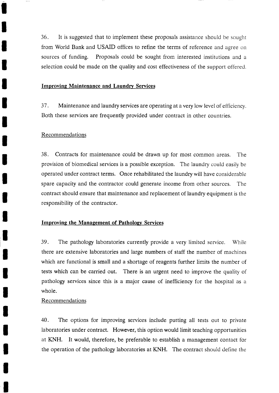36. It is suggested that to implement these proposals assistance should be sought from World Bank and USAID offices to refine the terms of reference and agree on sources of funding. Proposals could be sought from interested institutions and <sup>a</sup> selection could be made on the qualiry and cost effectiveness of the support otfered.

# Improving Maintenance and Laundry Services

37. Maintenance and laundry services are operating at a very low level of efficiency. Both these services are frequently provided under contract in other countries.

# Recommendations

I

t

l

I

l

T

t

T

T

I

I

I

I

I

I

I

I

I

I

T

I

38. Contracts for maintenance could be drawn up for most common areas. The provision of biomedical services is a possible exception. The laundry could easily be operated under contract terms. Once rehabilitated the laundry will have considerable spare capacity and the contractor could generate income from other sources. The contract should ensure that maintenance and replacement of laundry equipment is the responsibility of the contractor.

# Improving the Management of Pathology Services

39. The pathology laboratories currently provide a very limited service. While there are extensive laboratories and large numbers of staff the number of machines which are functional is small and a shortage of reagents further limits the number of tests which can be carried out. There is an urgent need to improve the quality of pathology services since this is a major cause of inefficiency for the hospital as <sup>a</sup> whole.

# Recommendations

40. The options for improving services include putting all tests out to private laboratories under contract. However, this option would limit teaching opportunities at KNH. It would, therefore, be preferable to establish a management contact for the operation of the pathology laboratories at KNH. The contract should detine the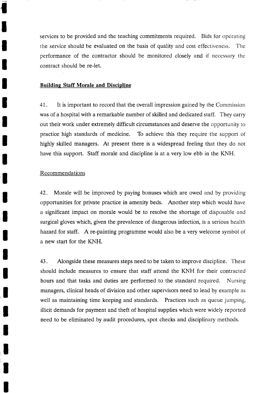services to be provided and the teaching commitments required. Bids for operating the service should be evaluated on the basis of quality and cost effectiveness. The performance of the contractor should be monitored closely and if necessary the contract should be re-let.

## Buildins Staff Morale and Discipline

4I. It is important to record that the overall impression gained by the Commission was of a hospital with a remarkable number of skilled and dedicated statf. They carry out their work under extremely difficult circumstances and deserve the opportunity to practice high standards of medicine. To achieve this they require the support of highly skilled managers. At present there is a widespread feeling that they do not have this support. Staff morale and discipline is at a very low ebb in the KNH.

## Recommendations

,l

l

T

I

T

I

T

T

T

I

I

I

T

I

T

I

I

I

I

T

I

42. Morale will be improved by paying bonuses which are owed and by providing opportunities for private practice in amenity beds. Another step which would have a significant impact on morale would be to resolve the shortage of disposable and surgical gloves which, given the prevalence of dangerous infection, is a serious health hazard for staff. A re-painting programme would also be a very welcome symbol of a new start for the KNH.

43. Alongside these measures steps need to be taken to improve discipline. These should include measures to ensure that staff attend the KNH for their contracted hours and that tasks and duties are performed to the standard required. Nursing managers, clinical heads of division and other supervisors need to lead by example as well as maintaining time keeping and standards. Practices such as queue jumping, illicit demands for payment and theft of hospital supplies which were widely reported need to be eliminated by audit procedures, spot checks and disciplinary methods.